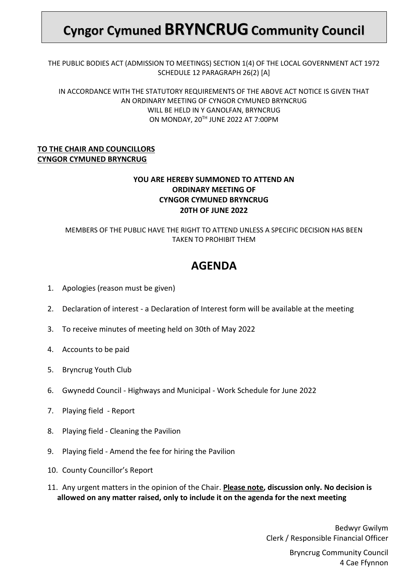# **Cyngor Cymuned BRYNCRUGCommunity Council**

THE PUBLIC BODIES ACT (ADMISSION TO MEETINGS) SECTION 1(4) OF THE LOCAL GOVERNMENT ACT 1972 SCHEDULE 12 PARAGRAPH 26(2) [A]

IN ACCORDANCE WITH THE STATUTORY REQUIREMENTS OF THE ABOVE ACT NOTICE IS GIVEN THAT AN ORDINARY MEETING OF CYNGOR CYMUNED BRYNCRUG WILL BE HELD IN Y GANOLFAN, BRYNCRUG ON MONDAY, 20<sup>TH</sup> JUNE 2022 AT 7:00PM

### **TO THE CHAIR AND COUNCILLORS CYNGOR CYMUNED BRYNCRUG**

## **YOU ARE HEREBY SUMMONED TO ATTEND AN ORDINARY MEETING OF CYNGOR CYMUNED BRYNCRUG 20TH OF JUNE 2022**

### MEMBERS OF THE PUBLIC HAVE THE RIGHT TO ATTEND UNLESS A SPECIFIC DECISION HAS BEEN TAKEN TO PROHIBIT THEM

# **AGENDA**

- 1. Apologies (reason must be given)
- 2. Declaration of interest a Declaration of Interest form will be available at the meeting
- 3. To receive minutes of meeting held on 30th of May 2022
- 4. Accounts to be paid
- 5. Bryncrug Youth Club
- 6. Gwynedd Council Highways and Municipal Work Schedule for June 2022
- 7. Playing field Report
- 8. Playing field Cleaning the Pavilion
- 9. Playing field Amend the fee for hiring the Pavilion
- 10. County Councillor's Report
- 11. Any urgent matters in the opinion of the Chair. **Please note, discussion only. No decision is allowed on any matter raised, only to include it on the agenda for the next meeting**

Bedwyr Gwilym Clerk / Responsible Financial Officer

> Bryncrug Community Council 4 Cae Ffynnon